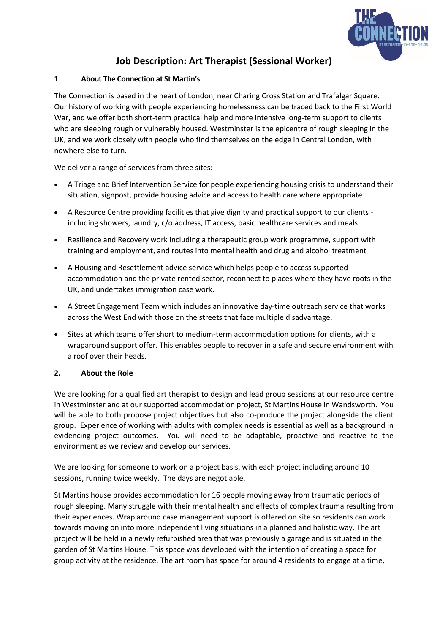

## **Job Description: Art Therapist (Sessional Worker)**

## **1 About The Connection at St Martin's**

The Connection is based in the heart of London, near Charing Cross Station and Trafalgar Square. Our history of working with people experiencing homelessness can be traced back to the First World War, and we offer both short-term practical help and more intensive long-term support to clients who are sleeping rough or vulnerably housed. Westminster is the epicentre of rough sleeping in the UK, and we work closely with people who find themselves on the edge in Central London, with nowhere else to turn.

We deliver a range of services from three sites:

- A Triage and Brief Intervention Service for people experiencing housing crisis to understand their situation, signpost, provide housing advice and access to health care where appropriate
- A Resource Centre providing facilities that give dignity and practical support to our clients including showers, laundry, c/o address, IT access, basic healthcare services and meals
- Resilience and Recovery work including a therapeutic group work programme, support with training and employment, and routes into mental health and drug and alcohol treatment
- A Housing and Resettlement advice service which helps people to access supported accommodation and the private rented sector, reconnect to places where they have roots in the UK, and undertakes immigration case work.
- A Street Engagement Team which includes an innovative day-time outreach service that works across the West End with those on the streets that face multiple disadvantage.
- Sites at which teams offer short to medium-term accommodation options for clients, with a wraparound support offer. This enables people to recover in a safe and secure environment with a roof over their heads.

## **2. About the Role**

We are looking for a qualified art therapist to design and lead group sessions at our resource centre in Westminster and at our supported accommodation project, St Martins House in Wandsworth. You will be able to both propose project objectives but also co-produce the project alongside the client group. Experience of working with adults with complex needs is essential as well as a background in evidencing project outcomes. You will need to be adaptable, proactive and reactive to the environment as we review and develop our services.

We are looking for someone to work on a project basis, with each project including around 10 sessions, running twice weekly. The days are negotiable.

St Martins house provides accommodation for 16 people moving away from traumatic periods of rough sleeping. Many struggle with their mental health and effects of complex trauma resulting from their experiences. Wrap around case management support is offered on site so residents can work towards moving on into more independent living situations in a planned and holistic way. The art project will be held in a newly refurbished area that was previously a garage and is situated in the garden of St Martins House. This space was developed with the intention of creating a space for group activity at the residence. The art room has space for around 4 residents to engage at a time,